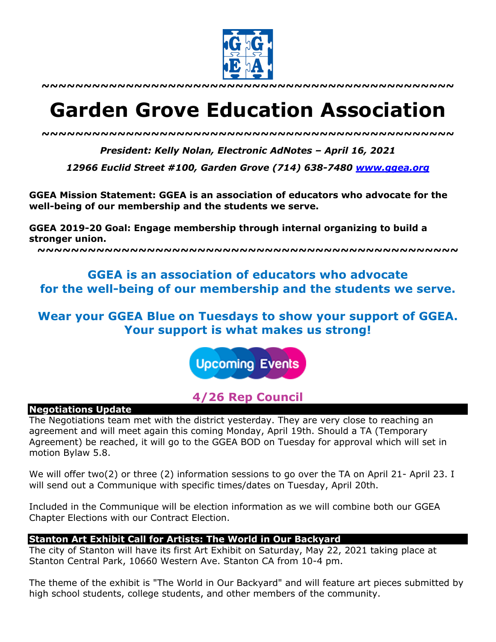

**~~~~~~~~~~~~~~~~~~~~~~~~~~~~~~~~~~~~~~~~~~~~~~~~~**

# **Garden Grove Education Association**

*~~~~~~~~~~~~~~~~~~~~~~~~~~~~~~~~~~~~~~~~~~~~~~~~~*

*President: Kelly Nolan, Electronic AdNotes – April 16, 2021*

*12966 Euclid Street #100, Garden Grove (714) 638-7480 www.ggea.org*

**GGEA Mission Statement: GGEA is an association of educators who advocate for the well-being of our membership and the students we serve.** 

**GGEA 2019-20 Goal: Engage membership through internal organizing to build a stronger union.**

**~~~~~~~~~~~~~~~~~~~~~~~~~~~~~~~~~~~~~~~~~~~~~~~~~~**

# **GGEA is an association of educators who advocate for the well-being of our membership and the students we serve.**

**Wear your GGEA Blue on Tuesdays to show your support of GGEA. Your support is what makes us strong!**

**Upcoming Events** 

# **4/26 Rep Council**

#### **Negotiations Update**

The Negotiations team met with the district yesterday. They are very close to reaching an agreement and will meet again this coming Monday, April 19th. Should a TA (Temporary Agreement) be reached, it will go to the GGEA BOD on Tuesday for approval which will set in motion Bylaw 5.8.

We will offer two(2) or three (2) information sessions to go over the TA on April 21- April 23. I will send out a Communique with specific times/dates on Tuesday, April 20th.

Included in the Communique will be election information as we will combine both our GGEA Chapter Elections with our Contract Election.

## **Stanton Art Exhibit Call for Artists: The World in Our Backyard**

The city of Stanton will have its first Art Exhibit on Saturday, May 22, 2021 taking place at Stanton Central Park, 10660 Western Ave. Stanton CA from 10-4 pm.

The theme of the exhibit is "The World in Our Backyard" and will feature art pieces submitted by high school students, college students, and other members of the community.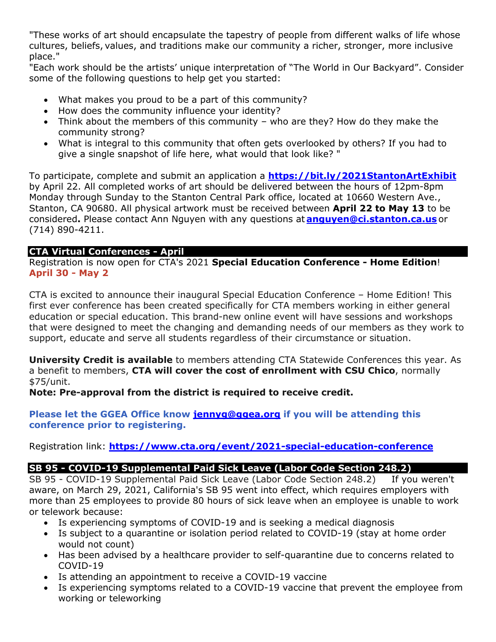"These works of art should encapsulate the tapestry of people from different walks of life whose cultures, beliefs, values, and traditions make our community a richer, stronger, more inclusive place."

"Each work should be the artists' unique interpretation of "The World in Our Backyard". Consider some of the following questions to help get you started:

- What makes you proud to be a part of this community?
- How does the community influence your identity?
- Think about the members of this community who are they? How do they make the community strong?
- What is integral to this community that often gets overlooked by others? If you had to give a single snapshot of life here, what would that look like? "

To participate, complete and submit an application a **https://bit.ly/2021StantonArtExhibit** by April 22. All completed works of art should be delivered between the hours of 12pm-8pm Monday through Sunday to the Stanton Central Park office, located at 10660 Western Ave., Stanton, CA 90680. All physical artwork must be received between **April 22 to May 13** to be considered**.** Please contact Ann Nguyen with any questions at **anguyen@ci.stanton.ca.us** or (714) 890-4211.

# **CTA Virtual Conferences - April**

Registration is now open for CTA's 2021 **Special Education Conference - Home Edition**! **April 30 - May 2**

CTA is excited to announce their inaugural Special Education Conference – Home Edition! This first ever conference has been created specifically for CTA members working in either general education or special education. This brand-new online event will have sessions and workshops that were designed to meet the changing and demanding needs of our members as they work to support, educate and serve all students regardless of their circumstance or situation.

**University Credit is available** to members attending CTA Statewide Conferences this year. As a benefit to members, **CTA will cover the cost of enrollment with CSU Chico**, normally \$75/unit.

**Note: Pre-approval from the district is required to receive credit.**

**Please let the GGEA Office know jennyg@ggea.org if you will be attending this conference prior to registering.**

Registration link: **https://www.cta.org/event/2021-special-education-conference**

# **SB 95 - COVID-19 Supplemental Paid Sick Leave (Labor Code Section 248.2)**

SB 95 - COVID-19 Supplemental Paid Sick Leave (Labor Code Section 248.2) If you weren't aware, on March 29, 2021, California's SB 95 went into effect, which requires employers with more than 25 employees to provide 80 hours of sick leave when an employee is unable to work or telework because:

- Is experiencing symptoms of COVID-19 and is seeking a medical diagnosis
- Is subject to a quarantine or isolation period related to COVID-19 (stay at home order would not count)
- Has been advised by a healthcare provider to self-quarantine due to concerns related to COVID-19
- Is attending an appointment to receive a COVID-19 vaccine
- Is experiencing symptoms related to a COVID-19 vaccine that prevent the employee from working or teleworking